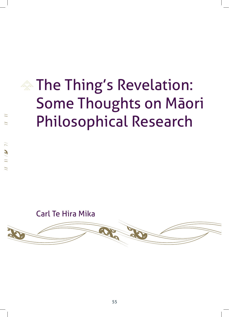# The Thing's Revelation: Some Thoughts on Māori Philosophical Research

Carl Te Hira Mika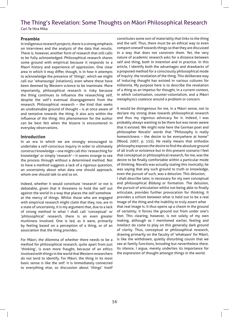#### **Preamble**

In indigenous research projects, there is a strong emphasis on interviews and the analysis of the data that results. There is, however, another form of research that still calls to be fully acknowledged. Philosophical research shares some ground with empirical because it responds to a Maori history and experience of oppression. One clear area in which it may differ, though, is in how it attempts to acknowledge the presence of 'things', which we might call our 'whanaunga' (relations), even where these have been deemed by Western science to be inanimate. More importantly, philosophical research is risky because the thing continues to influence the researching self, despite the self's eventual disengagement from the research. Philosophical research – the kind that seeks an unobtainable ground of thought – is at once aware of and tentative towards the thing. It also acts within the influence of the thing: this phenomenon for the author can be best felt when the bizarre is encountered in everyday observations.

#### **Introduction**

In an era in which we are strongly encouraged to undertake a self-conscious inquiry in order to ultimately construct knowledge – one might call this 'researching for knowledge' or simply 'research' – it seems strange to see the process through without a determined method. Not to have a method suggests a lack of a rigorous question, an uncertainty about what data one should approach, whom one should talk to and so on.

Indeed, whether it would constitute 'research' or not is debatable, given that it threatens to hold the self out against the world in a way that places the self somehow at the mercy of things. Whilst those who are engaged with empirical research might claim that they, too, are in a state of uncertainty, it is my argument that, due to a lack of strong method in what I shall call 'conceptual' or 'philosophical' research, there is an even greater murkiness involved. One is led, as it were, primarily by feeling based on a perception of a thing, or of an association that the thing provides.

For Māori, the dilemma of whether there needs to be a method for philosophical research, quite apart from just 'thinking', is even more fraught, because of an ethics involved with things in the world that Western researchers do not tend to identify. For Māori, the thing in its most basic sense is like the self: it is immediately connected to everything else, so discussion about 'things' itself

constitutes some sort of materiality that links to the thing and the self. Thus, there must be an ethical way to even comport oneself towards things so that they are discussed in a way that does not constrain them. Yet, the very nature of academic research asks for a distance between self and thing, both in intention and in practice. In this article, I identify both the advantages and drawbacks of a proposed method for a consciously philosophical mode of inquiry: the revelation of the thing. This deliberate way of inducing thought has existed in various cultures for millennia. My purpose here is to describe the revelation of a thing as an impetus for thought, in a current context, in which colonisation, counter-colonialism, and a Māori metaphysics coalesce around a problem or concern.

It would be disingenous for me, in a Māori sense, not to declare my strong draw towards philosophical research and thus my vigorous advocacy for it. Indeed, I was probably always wanting to be there but was never aware that it existed. We might note here the German poet and philosopher Novalis' words that "Philosophy is really homesickness – the desire to be everywhere at home" (Wood, 2007, p. 155). He really means that orthodox philosophy exposes the desire to find the absolute ground of all truth or existence but in this present scenario I feel that conceptual or philosophical research, for me, was the desire to be finally comfortable within a particular mode of thinking. Novalis was actually stating this ironically; he was saying that any such ground to truth or knowledge, even the pursuit of such, was a delusion. This delusion, I shall describe later, is necessary for my own conceptual and philosophical *Bildung* or formation. The delusion, the pursuit of articulation whilst not being able to finally articulate, provides further provocation for thinking. It provides a schism between what is held out to be a real image of the thing and the inability to truly assert what that real image is. It thus opens up a chasm in the ground of certainty; it forces the ground out from under one's feet. This clearing, however, is not solely of my own making, although as I mentioned earlier, feeling and intellect do come to play on this generally dark ground of clarity. Thus, conceptual or philosophical research, drawing primarily on the faculty of 'whakaaro' for Māori, is like the withdrawn, quietly disturbing cousin that we see at family functions, brooding but nevertheless there. Its silence, I argue, merely underlies its importance for the expression of thought amongst things in the world.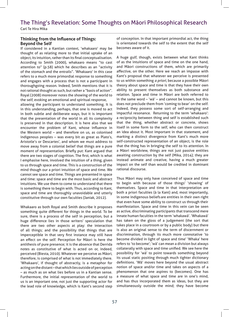#### **Thinking from the Influence of Things: Beyond the Self**

If considered in a Kantian context, 'whakaaro' may be thought of as relating more to that initial uptake of an object, its intuition, rather than its final conceptualisation. According to Smith (2000), whakaaro means "to cast attention to" (p.58) which he describes as an "activity of the stomach and the entrails". 'Whakaaro' in this case refers to a much more primordial response to something and engages with a process that is not a participant in thoroughgoing reason. Indeed, Smith mentions that it is not rational thought as such, but rather a "basis of action". Royal (2008) moreover notes the showing of the world to the self, evoking an emotional and spiritual response,

allowing the participant to understand something. It is in this understanding, perhaps, that one is moved to act in both subtle and deliberate ways, but it is important that the presentation of the world in all its complexity is preserved in that description. It is here also that we encounter the problem of Kant, whose influence in the Western world – and therefore on us, as colonised indigenous peoples – was every bit as great as Plato's, Aristotle's or Descartes', and whom we must address to move away from a colonial belief that things are a pure moment of representation. Briefly put: Kant argued that there are two stages of cognition. The first, which is what I emphasise here, involved the intuition of a thing, given to us through space and time. This is a construction of the mind though our a priori intuition of space and time. We cannot see space and time. Things are presented in space and time: space and time are the most basic and abstract intuitions. We use them to come to understand that there is something there to begin with. Thus, according to Kant, space and time are thoroughly unavoidable and utterly constitutive through our own faculties (Janiak, 2012).

Whakaaro as both Royal and Smith describe it proposes something quite different for things in the world. To be sure, there is a process of the self in perception, but a huge difference lies in those writers' speculation that there are two other aspects at play: the interaction of all things; and the possibility that things that are imperceptible in that very first instance may still have an effect on the self. Perception for Māori is here the antithesis of pure presence; it is the absence that Derrida notes as constitutive of what is acted on or, indeed, perceived (Biesta, 2010). Whatever we perceive as Māori, therefore, is comprised of what is not immediately there. 'Whakaaro', if thought of abstractly, is a metaphor for acting on the distant – that which lies outside of perception – as much as on what lies before us in a Kantian sense. Furthermore, the initial representation of the world to us is an important one, not just the supporting actor for the lead role of knowledge, which is Kant's second step

of conception. In that important primordial act, the thing is orientated towards the self to the extent that the self becomes aware of it.

A huge gulf, though, exists between what Kant thinks of as the intuitions of space and time on the one hand, and Māori constructions of them, which are primarily affective, on the other. Here we reach an impasse with Kant's proposal that whatever we perceive is presented to us within something *a priori*, because a possible Māori theory about space and time is that they have their own ability to present themselves as both substance and relation. Space and time in Māori are both referred to in the same word – 'wā' – and cannot be known, but this does not preclude them from 'coming to bear' on the self. Indeed, they possess some sort of self-arranging and impactful resonance. Returning to the term 'whakaaro': a reciprocity between thing and self is established such that the thing, whether abstract or concrete, shows itself in some form to the self, who can then construct an idea about it. Most important in that statement, and marking a distinct divergence from Kant's much more self-constructed representation of an object, is the role that the thing has in bringing the self to its attention. In a Māori worldview, things are not just passive entities awaiting construction by the self (Mika, 2014); they are instead animate and creative, having a much greater impact on the self than would be credited in dominant rational discourse.

Thus Māori may only have conceived of space and time to begin with because of those things' 'showing' of themselves. Space and time in that interpretation are both a priori faculties (à la Kant) and, most importantly, in some indigenous beliefsare entities in their own right that even have some ability to construct us through their manifestation. Space and time in this vein can be seen as active, discriminating participants that transcend mere innate human faculties in the term 'whakawā'. 'Whakawā' has taken on the gloss of a judgement (the sort that takes place in a courtroom or by a public body) but there is also an original sense to the term of discernment or discrimination, through its much more connotative 'to become divided in light of space and time' 'Whaka' here refers to 'to become'; 'wā' can mean a division but always collaterally with space and time unified. We see here the possibility for 'wā' to point towards something beyond its usual static positing through much tighter dictionary definitions. 'Wā' moves here beyond the usual abstract notion of space and/or time and takes on aspects of a phenomenon that one aspires to (becomes). One has a measure of what space and time are in one's mind, and has thus incorporated them as ideas, but they are simultaneously outside the mind; they have become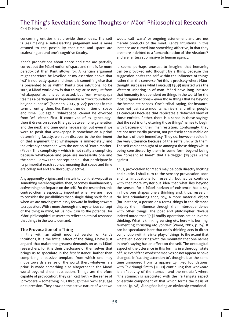concerning entities that provide those ideas. The self is less making a self-asserting judgement and is more attuned to the possibility that time and space are coalescing around one's cognitive faculty.

Kant's propositions about space and time are partially correct but the Māori notion of space and time is far more paradoxical than Kant allows for. A Kantian argument might therefore be levelled at my assertion above that 'wā' is not really space and time; it is something else that is presented to us within Kant's true intuitions. To be sure, a Māori worldview is that things arise not just from 'whakapapa' as it is constructed, but from whakapapa itself as a participant in Papatūānuku or "rock foundation beyond expanse" (Marsden, 2003, p. 22): perhaps in this term or entity, then, lies Kant's true definition of space and time. But again, 'whakapapa' cannot be divorced from 'wā' either. First, if conceived of as 'genealogy', then it draws on space (the gap between one generation and the next) and time quite necessarily. But even if we were to posit that whakapapa is somehow an a priori determining faculty, we soon discover to the detriment of that argument that whakapapa is immediately and inextricably enmeshed with the notion of 'earth mother' (Papa). This complicity – which is not really a complicity because whakapapa and papa are necessarily one and the same – draws the concept and all that participate in its primordial reach at once, meaning that space and time are collapsed and are thoroughly active.

Any apparently original and innate intuition that we posit as something merely cognitive, then, becomes simultaneously active thing that impacts on the self. For the researcher, this contradiction is especially important when we are made to consider the possibilities that a single thing holds for us when we are moving seamlessly forward in finding answers to a question. With a more thorough and mysterious concept of the thing in mind, let us now turn to the potential for Māori philosophical research to reflect an ethical response that things in the world demand.

#### **The Provocation of a Thing**

In line with an albeit modified version of Kant's intuitions, it is the initial effect of the thing, I have just argued, that makes the greatest demands on us as Māori researchers, for it is their disclosure of themselves that brings us to speculate in the first instance. Rather than comprising a passive template from which one may move towards a sense of the world, then, whatever is a priori is made something else altogether in the Māori world beyond sheer abstraction. Things are therefore capable of provocation; they can 'call forth' – the sense of 'provocare' – something in us through their own language or expression. They draw on the active nature of what we

would call 'wana' or ongoing attunement and are not merely products of the mind. Kant's intuitions in this instance are turned into something affective, in that they are more indebted to a Romantic notion of 'the Absolute'2 and are far less submissive to human agency.

It seems perhaps unusual to imagine that humanity can be provoked into thought by a thing, because this suggestion posits the self within the influence of things rather than the converse. Yet this is precisely where Māori thought surpasses what Foucault(1989) insisted was the Western ushering in of man. Māori have long insisted that humanity is dependent on things in the world for the most original actions – even those things that lie beyond the immediate senses. One's tribal saying, for instance, does not just state mountains, rivers, and other people as concepts because that replicates a detached view of those entities. Rather, there is a sense in these sayings that the self is only uttering those things' names to begin with because of their manifestation. Confusingly, they are not necessarily present, not precisely consumable on the basis of their immediacy. They do, however, reside in the very utterance because of the self's link with them. The self can be thought of as amongst those things whilst being constituted by them in some form beyond being the "present at hand" that Heidegger (1967a) warns against.

Thus, provocation for Māori may be both directly inciting and subtle. I shall turn to the sensory provocation soon and its implications for research, but let us continue with that more mysterious idea that what lies beyond the senses, for a Māori horizon of existence, has a say in how one shapes one's thinking and, thus, research. No less stimulating than, say, a more material object (for instance, a person or a term), things in the distance display their influence through their interdependence with other things. The poet and philosopher Novalis indeed noted that "[a]ll bodily operations are an inverse thinking. What is thinking sensing etc. here – is burning, fermenting, thrusting etc. yonder" (Wood, 2007, p. 24). It can be speculated here that one's thinking acts in direct conjunction with the interplay of things, to the extent that whatever is occurring with the mountain that one names in one's saying has an effect on the self. The ontological aspect of the utterance in this form is in a thorough state of flux, even if the words themselves do not appear to have changed. In 'casting attention to', thought is at the same time unmoored from its apparently fixed foundations, with Takirirangi Smith (2000) continuing that whakaaro is an "activity of the stomach and the entrails", where "the stomach is associated with the ira tangata aspect or earthly component of that which forms the basis of action" (p. 58). Alongside being an obviously emotional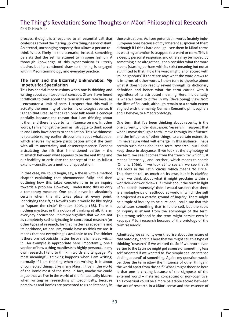process, thought is a response to an essential call that coalesces around the 'flaring up' of a thing, near or distant. An eternal, unchanging property that allows a person to think is less likely in this scenario; instead, something persists that the self is attuned to in some fashion. A thorough knowledge of this synchronicity is utterly elusive, but its continued draw to thinking is engaged with in Māori terminology and everyday practice.

#### **The Term and the Bizarrely Unknowable: My Impetus for Speculation**

This has special repercussions when one is thinking and writing about a philosophical concept. Often I have found it difficult to think about the term in its entirety because I encounter a limit of sorts. I suspect that this wall is actually the enormity of the term's ontological sense. It is then that I realise that I can only talk about a concept partially, because the reason that I am thinking about it then and there is due to its influence on me. In other words, I am amongst the term as I struggle to think about it, and I only have access to speculation. This 'withinness' is relatable to my earlier discussions about whakapapa, which ensures my active participation amidst the term with all its uncertainty and absence/presence. Perhaps articulating the rift that I mentioned earlier – the mismatch between what appears to be the real thing and our inability to articulate the concept of it to its fullest extent – constitutes a method of speculation.

In that case, we could begin, say, a thesis with a method chapter explaining that phenomenon fully, and then outlining how this takes concrete form in an inquiry towards a problem. However, I understand this as only a temporary measure. One could never be absolutely certain when this rift takes place at every point. Identifying the rift, as Novalis puts it, would be like trying to "square the circle" (Kneller, 2003, p.168). There is nothing mystical in this notion of thinking at all; it is an everyday occurrence. It simply signifies that we are not as completely self-originating in conceptual research (or other types of research, for that matter) as academia and its backbone, rationalism, would have us think we are. It means that not everything is available to us. The thinker is therefore not outside matter; he or she is instead *within* it. An example is appropriate here. Importantly, one's version of how a thing manifests is highly personal. In my own research, I tend to think in words and language. My most meaningful thinking happens when I am writing; normally if I am thinking when not writing, it is about unconnected things. Like many Māori, I live in the world of the ironic most of the time. In fact, maybe we could argue that we live in the world of the fantastically bizarre when writing or researching philosophically, because paradoxes and ironies are presented to us so intensely in those situations. As I see potential in words (mainly indo-European ones because of my inherent suspicion of them although if I think hard enough I see them in Māori terms as well) my attention is snapped to a word or term. This is a deeply personal response, and others may be moved by something else altogether. I then consider what the word means (starting perhaps with its strict meaning but not at all limited to that); how the word might jar or accord with its 'neighbours' if there are any; what the word draws to it in terms of other words. I then turn to theorise about what it doesn't so readily reveal through its dictionary definition and hence what the term carries with it regardless of its attributed meaning. Here, incidentally, is where I tend to differ in my (developing) view from the likes of Foucault, although remain to a certain extent aligned with the mainly German Romantic philosophers and, I believe, to a Māori ontology.

One term that I've been thinking about recently is the one currently under discussion: 'research'. I suspect that when I move through a term I move through its influence, and the influence of other things, to a certain extent. So I'm never sure what will emerge. In this instance, I have certain suspicions about the term 'research', but I shall keep those in abeyance. If we look at the etymology of the term, we see it comes from the french 're' which just means 'intensely', and 'cercher', which means to search (Onions, 1966). If we look at 'to search' we see that it has roots in the Latin 'circus' which means 'to circle'. This doesn't tell us much on its own, but it is clarified when we think about what it might proclaim within a worldview or worldviews. If I think about the term in light of 'to search intensely' then I would suspect that there is a metaphysics of selfhood at work, in which the self is projected as a certain ground of inquiry. There might be a topic of inquiry, to be sure, and I could say that this constitutes something that isn't the self, but the topic of inquiry is absent from the etymology of the term. This strong selfhood in the term might persist even in kaupapa Māori research because of the ontology of the term 'research'.

Admittedly we can only ever theorise about the nature of that ontology, and it is here that we might call this type of thinking 'research' if we wanted to. So if we return even earlier to the Latin we might get a sense of something less self-oriented if we wanted to. We simply see 'an intense circling around' of something. Again, my question would be: does the term allow the influence of other things in the world apart from the self? What I might theorise here is that one is circling because of the signposts of the external world – material, conceptual or non-cognitive. This construal could be a more palatable accord between the act of research in a Māori sense and the essence of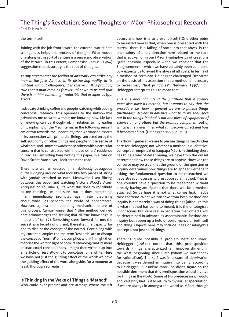the term itself.

Joining with the jolt from a word, the external world in its strangeness helps this process of thought. What moves one along in this sort of venture is a sense and observation of the bizarre. To this extent, I emphasise Camus' (1964) suggestion that absurdity is the root of thought:

*At any streetcorner the feeling of absurdity can strike any man in the face. As it is, in its distressing nudity, in its lightout without effulgence, it is elusive …. It is probably true that a man remains forever unknown to us and that there is in him something irreducible that escapes us* (pp. 10-11).

I advocate drinking coffee and people watching whilst doing conceptual research. This openness to the unknowable galvanises me to write without me knowing how. My lack of knowing can be thought of, in relation to my earlier philosophising of the Māori terms, in the following sense: I am drawn towards the uncertainty that whakapapa asserts in its connection with primordial Being; I am acted on by the self autonomy of other things and people in the sense of whakaaro; and I move towards those others with a particular concern that is constructed within those others' residence in 'wa'. As I am sitting here writing this paper, in a café on Davie Street, Vancouver, I look across the road.

There is a woman dressed in a fabulously outrageous outfit swinging around what look like two pieces of string with jandals attached to each. Meanwhile I am flitting between this paper and watching Victoria Wood's 'Acorn Antiques' on YouTube. Quite what this does to contribute to my thinking I'm not sure, but it does something; I am immediately prompted again into theorising about what lies beneath the world of appearances. However, against the apparently mechanical nature of this process, Camus warns that "[t]he method defined here acknowledges the feeling that all true knowledge is impossible" (p. 12). Something steps forward for me: the surreal as a broad notion, and, thereafter, the capacity for one to disrupt the concept of the normal. Continuing with my current example: can the term 'research' act to disrupt the concept of 'normal' or is it complicit with it? I might then theorise the word in light of both its etymology and its more poststructural consequences. I might then write it up into an article or just allow it to percolate for a while. Here we have not just the guiding effect of the word: we have the guiding effect of the word alongside, for a moment at least, thorough surrealism.

#### **Is Thinking in the Wake of Things a 'Method'**

Who could ever predict and pre-arrange where the rift

occurs and how it is to present itself? One other point to be raised here is that, when one is presented with the surreal, there is a falling of sorts into that abyss. Is the uncertainty of one's direction here related to the dark that is spoken of in our (Māori) metaphysics of creation? Quite possibly, especially when we consider that the Enlightenment – which we have certainly been colonised by – expects us to avoid the abyss at all costs. In terms of a method of certainty, Heidegger challenged Descartes on the basis of his assertion that a method is necessary to reveal very "first principles" (Newman, 1997, n.p.). Heidegger interprets this to mean that:

*This rule does not intend the platitude that a science must also have its method, but it wants to say that the procedure, i.e., how in general we are to pursue things (methodos), decides in advance what truth we shall seek out in the things. Method is not one piece of equipment of science among others but the primary component out of which is first determined what can become object and how it becomes object.* (Heidegger, 1993, p. 300)

The 'how in general' we are to pursue things is the clincher here for Heidegger, not whether a method is qualitative, conceptual, empirical or kaupapa Māori. In thinking there has to be a way of determining, we have from the outset determined how those things are to appear. However, the converse may be true: that the ground of the question or inquiry determines how things are to appear. Perhaps in asking the fundamental question to be researched we have already necessarily presupposed a method. That is, one couldn't have a question to be researched without already having anticipated that there will be a method attached. So perhaps it is not what comes first: maybe they coattend. What we can take from both method and inquiry is not merely a way of doing things (although this is what method has come to mean): it is the ontological, unconscious but very real expectation that objects will be determined in advance as ascertainable. Method and inquiry both open up a field of performance of both self and thing. Objects here may include ideas or intangible concepts, not just solid things.

There is quite possibly a problem here for Māori. Heidegger (1967b) noted that this predisposition towards things characterized an impoverishment in the West, beginning since Plato (whom we must thank for rationalism). The self was in a state of deprivation because it was denied an inquiry into Being, according to Heidegger. But unlike Māori, he didn't figure on the possible detriment that this predisposition would involve for things in the world. Some of his predecessors, I would add, certainly had. But to return to my earlier speculation: if we are always in amongst the world as Māori, through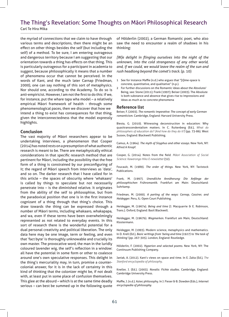the myriad of connections that we claim to have through various terms and descriptions, then there might be an effect on other things besides the self (but including the self) of a method. To be sure, I am entering outrageous and dangerous territory because I am suggesting that our orientation towards a thing has effects on that thing. This is particularly outrageous for a participant in academia to suggest, because philosophically it means that a number of phenomena occur that cannot be perceived. In the words of Kant, and the much later Carnap (Friedman, 2000), one can say nothing of this sort of metaphysics. Nor should one, according to the Academy. To do so is anti-empiricist. However, I am not the first to do this: if we, for instance, put the whare tapa wha model – a relatively empirical Māori framework of health - through some phenomenological paces, then we discover that how we intend a thing to exist has consequences for that thing, given the interconnectedness that the model expressly highlights.

#### **Conclusion**

The vast majority of Māori researchers appear to be undertaking interviews, a phenomenon that Cooper (2014) has noted rests on a presumption of what authentic research is meant to be. There are metaphysically ethical considerations in that specific research method that are pertinent for Māori, including the possibility that the free form of a thing is constrained by our preconfiguring of it; the regard of Māori speech from interviews as 'data', and so on. The darker research that I have called for in this article – the spaces of obscurity where 'whakaaro' is called by things to speculate but not necessarily penetrate into – is the diminished relative. It originates from the ability of the self to philosophise, but from the paradoxical position that one is in the first instance cognizant of a thing through that thing's choice. This draw towards the thing can be expressed through a number of Māori terms, including whakaaro, whakapapa, and wa, even if these terms have been overwhelmingly represented as not related to everyday events. In this sort of research there is the wonderful potential for a dual personal creativity and political liberation. The only data here may be one image, term or feeling, and even that 'fact byte' is thoroughly unknowable and crucially its own master. The provocative word, the man in the luridly coloured lavender wig, the self's reflection in a window: all have the potential in some form or other to coalesce around one's own speculative responses. This delight in the thing's mercuriality may, in turn, promise a countercolonial answer, for it is in the lack of certainty in this kind of thinking that the colonizer might be, if not dealt with, at least put in some place of confusion themselves. This glee at the absurd – which is at the same time deadly serious – can best be summed up in the following quote of Hōlderlin (2002), a German Romantic poet, who also saw the need to encounter a realm of shadows in his thinking:

*[W]e delight in flinging ourselves into the night of the unknown, into the cold strangeness of any other world, and, if we could, we would leave the realm of the sun and rush headlong beyond the comet's track.* (p. 10)

- 1 See for instance Maffie (n.d.) who argues that "[t]ime-space is concrete, quantitative, and qualitative" (n.p.).
- 2 For further discussions on the Romantic ideas about the Absolute/ Being, see: Stone (2011); Frank (1997); Beiser (2003). The Absolute is both substance and absence that gives rise to impressions and ideas as much as to concrete phenomena

#### **Reference list**

Beiser, F. (2003). *The romantic imperative: The concept of early German romanticism*. Cambridge, England: Harvard University Press.

Biesta, G. (2010). Witnessing deconstruction in education: Why quasitranscendentalism matters. In C. Ruitenberg (Ed.), *What do philosophers of education do? (And how do they do it?)* (pp. 73-86). West Sussex, England: Blackwell Publishing.

Camus, A. (1964). *The myth of Sisyphus and other essays*. New York, NY: Alfred A Knopf.

Cooper, G. (2014). Notes from the field*. Māori Association of Social Science: Kawerongo Hiko E-newsletter* (32).

Foucault, M. (1989). *The order of things*. New York, NY: Tavistock Publications.

Frank, M. (1997). *Unendliche Annāherung: Die Anfānge der philosophischen Frühromantik*. Frankfurt am Main: Deutschland: Suhrkamp.

Friedman, M. (2000). *A parting of the ways: Carnap, Cassirer, and Heidegger*. Peru, IL: Open Court Publishing.

Heidegger, M. (1967a). *Being and time* (J. Macquarrie & E. Robinson, Trans.). Oxford, England: Basil Blackwell.

Heidegger, M. (1967b). *Wegmarken*. Frankfurt am Main, Deutschland: Klostermann.

Heidegger, M. (1993). Modern science, metaphysics and mathematics. In D. Krell (Ed.), *Basic writings from 'being and time (1927) to 'the task of thinking'* (pp. 267-305). London, England: Routledge.

Hölderlin, F. (2002). *Hyperion and selected poems*. New York, NY: The Continuum Publishing Company.

Janiak, A. (2012). Kant's views on space and time. In E. Zalta (Ed.), *The Stanford encyclopedia of philosophy*.

Kneller, J. (Ed.). (2003). *Novalis: Fichte studies*. Cambridge, England: Cambridge University Press.

Maffie, J. (n.d.). Aztec philosophy. In J. Fieser & B. Dowden (Eds.), *Internet encyclopedia of philosophy.*